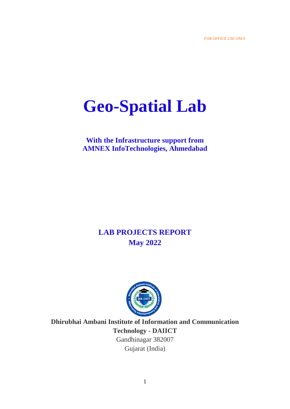# **Geo-Spatial Lab**

## **With the Infrastructure support from AMNEX InfoTechnologies, Ahmedabad**

# **LAB PROJECTS REPORT May 2022**



**Dhirubhai Ambani Institute of Information and Communication Technology - DAIICT** Gandhinagar 382007 Gujarat (India)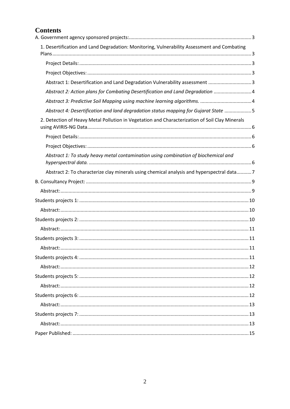## **Contents**

| 1. Desertification and Land Degradation: Monitoring, Vulnerability Assessment and Combating    |  |
|------------------------------------------------------------------------------------------------|--|
|                                                                                                |  |
|                                                                                                |  |
| Abstract 1: Desertification and Land Degradation Vulnerability assessment 3                    |  |
| Abstract 2: Action plans for Combating Desertification and Land Degradation  4                 |  |
|                                                                                                |  |
| Abstract 4: Desertification and land degradation status mapping for Gujarat State 5            |  |
| 2. Detection of Heavy Metal Pollution in Vegetation and Characterization of Soil Clay Minerals |  |
|                                                                                                |  |
|                                                                                                |  |
| Abstract 1: To study heavy metal contamination using combination of biochemical and            |  |
| Abstract 2: To characterize clay minerals using chemical analysis and hyperspectral data7      |  |
|                                                                                                |  |
|                                                                                                |  |
|                                                                                                |  |
|                                                                                                |  |
|                                                                                                |  |
|                                                                                                |  |
|                                                                                                |  |
|                                                                                                |  |
|                                                                                                |  |
|                                                                                                |  |
|                                                                                                |  |
|                                                                                                |  |
|                                                                                                |  |
|                                                                                                |  |
|                                                                                                |  |
|                                                                                                |  |
|                                                                                                |  |
|                                                                                                |  |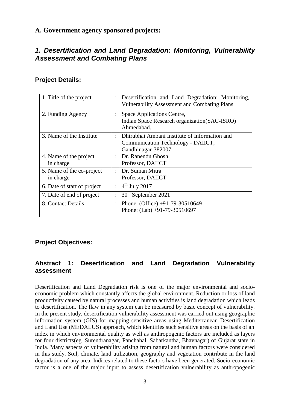## <span id="page-2-0"></span>**A. Government agency sponsored projects:**

## <span id="page-2-1"></span>*1. Desertification and Land Degradation: Monitoring, Vulnerability Assessment and Combating Plans*

#### <span id="page-2-2"></span>**Project Details:**

| 1. Title of the project                | $\ddot{\cdot}$       | Desertification and Land Degradation: Monitoring,<br><b>Vulnerability Assessment and Combating Plans</b>  |
|----------------------------------------|----------------------|-----------------------------------------------------------------------------------------------------------|
| 2. Funding Agency                      | $\bullet$<br>$\cdot$ | Space Applications Centre,<br>Indian Space Research organization (SAC-ISRO)<br>Ahmedabad.                 |
| 3. Name of the Institute               | $\ddot{\cdot}$       | Dhirubhai Ambani Institute of Information and<br>Communication Technology - DAIICT,<br>Gandhinagar-382007 |
| 4. Name of the project<br>in charge    | $\bullet$            | Dr. Ranendu Ghosh<br>Professor, DAIICT                                                                    |
| 5. Name of the co-project<br>in charge | $\ddot{\cdot}$       | Dr. Suman Mitra<br>Professor, DAIICT                                                                      |
| 6. Date of start of project            | :                    | $4th$ July 2017                                                                                           |
| 7. Date of end of project              | :                    | 30 <sup>th</sup> September 2021                                                                           |
| 8. Contact Details                     | $\bullet$            | Phone: (Office) $+91-79-30510649$<br>Phone: (Lab) +91-79-30510697                                         |

## <span id="page-2-3"></span>**Project Objectives:**

## <span id="page-2-4"></span>**Abstract 1: Desertification and Land Degradation Vulnerability assessment**

Desertification and Land Degradation risk is one of the major environmental and socioeconomic problem which constantly affects the global environment. Reduction or loss of land productivity caused by natural processes and human activities is land degradation which leads to desertification. The flaw in any system can be measured by basic concept of vulnerability. In the present study, desertification vulnerability assessment was carried out using geographic information system (GIS) for mapping sensitive areas using Mediterranean Desertification and Land Use (MEDALUS) approach, which identifies such sensitive areas on the basis of an index in which environmental quality as well as anthropogenic factors are included as layers for four districts(eg. Surendranagar, Panchahal, Sabarkantha, Bhavnagar) of Gujarat state in India. Many aspects of vulnerability arising from natural and human factors were considered in this study. Soil, climate, land utilization, geography and vegetation contribute in the land degradation of any area. Indices related to these factors have been generated. Socio-economic factor is a one of the major input to assess desertification vulnerability as anthropogenic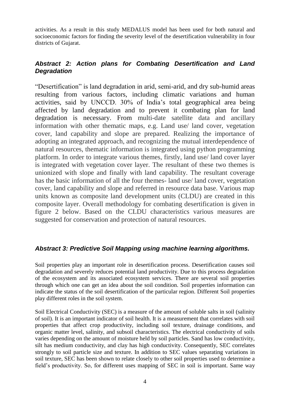activities. As a result in this study MEDALUS model has been used for both natural and socioeconomic factors for finding the severity level of the desertification vulnerability in four districts of Gujarat.

## <span id="page-3-0"></span>*Abstract 2: Action plans for Combating Desertification and Land Degradation*

"Desertification" is land degradation in arid, semi-arid, and dry sub-humid areas resulting from various factors, including climatic variations and human activities, said by UNCCD. 30% of India's total geographical area being affected by land degradation and to prevent it combating plan for land degradation is necessary. From multi-date satellite data and ancillary information with other thematic maps, e.g. Land use/ land cover, vegetation cover, land capability and slope are prepared. Realizing the importance of adopting an integrated approach, and recognizing the mutual interdependence of natural resources, thematic information is integrated using python programming platform. In order to integrate various themes, firstly, land use/ land cover layer is integrated with vegetation cover layer. The resultant of these two themes is unionized with slope and finally with land capability. The resultant coverage has the basic information of all the four themes- land use/ land cover, vegetation cover, land capability and slope and referred in resource data base. Various map units known as composite land development units (CLDU) are created in this composite layer. Overall methodology for combating desertification is given in figure 2 below. Based on the CLDU characteristics various measures are suggested for conservation and protection of natural resources.

#### <span id="page-3-1"></span>*Abstract 3: Predictive Soil Mapping using machine learning algorithms.*

Soil properties play an important role in desertification process. Desertification causes soil degradation and severely reduces potential land productivity. Due to this process degradation of the ecosystem and its associated ecosystem services. There are several soil properties through which one can get an idea about the soil condition. Soil properties information can indicate the status of the soil desertification of the particular region. Different Soil properties play different roles in the soil system.

Soil Electrical Conductivity (SEC) is a measure of the amount of soluble salts in soil (salinity of soil). It is an important indicator of soil health. It is a measurement that correlates with soil properties that affect crop productivity, including soil texture, drainage conditions, and organic matter level, salinity, and subsoil characteristics. The electrical conductivity of soils varies depending on the amount of moisture held by soil particles. Sand has low conductivity, silt has medium conductivity, and clay has high conductivity. Consequently, SEC correlates strongly to soil particle size and texture. In addition to SEC values separating variations in soil texture, SEC has been shown to relate closely to other soil properties used to determine a field's productivity. So, for different uses mapping of SEC in soil is important. Same way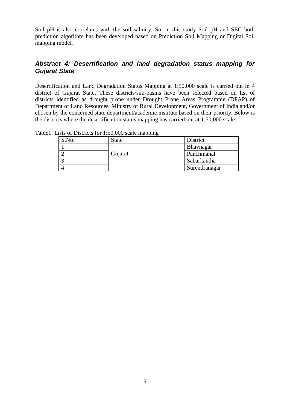Soil pH is also correlates with the soil salinity. So, in this study Soil pH and SEC both prediction algorithm has been developed based on Prediction Soil Mapping or Digital Soil mapping model.

#### <span id="page-4-0"></span>*Abstract 4: Desertification and land degradation status mapping for Gujarat State*

Desertification and Land Degradation Status Mapping at 1:50,000 scale is carried out in 4 district of Gujarat State. These districts/sub-basins have been selected based on list of districts identified as drought prone under Drought Prone Areas Programme (DPAP) of Department of Land Resources, Ministry of Rural Development, Government of India and/or chosen by the concerned state department/academic institute based on their priority. Below is the districts where the desertification status mapping has carried out at 1:50,000 scale.

| S.No. | State   | District      |
|-------|---------|---------------|
|       |         | Bhavnagar     |
|       | Gujarat | Panchmahal    |
|       |         | Sabarkantha   |
|       |         | Surendranagar |

Table1: Lists of Districts for 1:50,000 scale mapping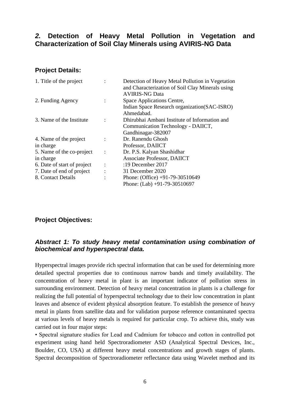## <span id="page-5-0"></span>*2.* **Detection of Heavy Metal Pollution in Vegetation and Characterization of Soil Clay Minerals using AVIRIS-NG Data**

#### <span id="page-5-1"></span>**Project Details:**

| 1. Title of the project     |                | Detection of Heavy Metal Pollution in Vegetation<br>and Characterization of Soil Clay Minerals using |
|-----------------------------|----------------|------------------------------------------------------------------------------------------------------|
|                             |                | <b>AVIRIS-NG Data</b>                                                                                |
| 2. Funding Agency           |                | Space Applications Centre,                                                                           |
|                             |                | Indian Space Research organization (SAC-ISRO)                                                        |
|                             |                | Ahmedabad.                                                                                           |
| 3. Name of the Institute    |                | Dhirubhai Ambani Institute of Information and                                                        |
|                             |                | Communication Technology - DAIICT,                                                                   |
|                             |                | Gandhinagar-382007                                                                                   |
| 4. Name of the project      |                | Dr. Ranendu Ghosh                                                                                    |
| in charge                   |                | Professor, DAIICT                                                                                    |
| 5. Name of the co-project   |                | Dr. P.S. Kalyan Shashidhar                                                                           |
| in charge                   |                | Associate Professor, DAIICT                                                                          |
| 6. Date of start of project | $\ddot{\cdot}$ | :19 December $2017$                                                                                  |
| 7. Date of end of project   |                | 31 December 2020                                                                                     |
| 8. Contact Details          |                | Phone: (Office) +91-79-30510649                                                                      |
|                             |                | Phone: $(Lab) +91-79-30510697$                                                                       |

#### <span id="page-5-2"></span>**Project Objectives:**

## <span id="page-5-3"></span>*Abstract 1: To study heavy metal contamination using combination of biochemical and hyperspectral data.*

Hyperspectral images provide rich spectral information that can be used for determining more detailed spectral properties due to continuous narrow bands and timely availability. The concentration of heavy metal in plant is an important indicator of pollution stress in surrounding environment. Detection of heavy metal concentration in plants is a challenge for realizing the full potential of hyperspectral technology due to their low concentration in plant leaves and absence of evident physical absorption feature. To establish the presence of heavy metal in plants from satellite data and for validation purpose reference contaminated spectra at various levels of heavy metals is required for particular crop. To achieve this, study was carried out in four major steps:

• Spectral signature studies for Lead and Cadmium for tobacco and cotton in controlled pot experiment using hand held Spectroradiometer ASD (Analytical Spectral Devices, Inc., Boulder, CO, USA) at different heavy metal concentrations and growth stages of plants. Spectral decomposition of Spectroradiometer reflectance data using Wavelet method and its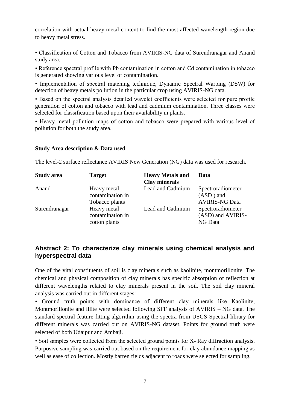correlation with actual heavy metal content to find the most affected wavelength region due to heavy metal stress.

• Classification of Cotton and Tobacco from AVIRIS-NG data of Surendranagar and Anand study area.

• Reference spectral profile with Pb contamination in cotton and Cd contamination in tobacco is generated showing various level of contamination.

• Implementation of spectral matching technique, Dynamic Spectral Warping (DSW) for detection of heavy metals pollution in the particular crop using AVIRIS-NG data.

• Based on the spectral analysis detailed wavelet coefficients were selected for pure profile generation of cotton and tobacco with lead and cadmium contamination. Three classes were selected for classification based upon their availability in plants.

• Heavy metal pollution maps of cotton and tobacco were prepared with various level of pollution for both the study area.

#### **Study Area description & Data used**

The level-2 surface reflectance AVIRIS New Generation (NG) data was used for research.

| <b>Study area</b> | <b>Target</b>                                     | <b>Heavy Metals and</b><br><b>Clay minerals</b> | Data                                                      |
|-------------------|---------------------------------------------------|-------------------------------------------------|-----------------------------------------------------------|
| Anand             | Heavy metal<br>contamination in<br>Tobacco plants | Lead and Cadmium                                | Spectroradiometer<br>$(ASD)$ and<br><b>AVIRIS-NG Data</b> |
| Surendranagar     | Heavy metal<br>contamination in<br>cotton plants  | Lead and Cadmium                                | Spectroradiometer<br>(ASD) and AVIRIS-<br>NG Data         |

#### <span id="page-6-0"></span>**Abstract 2: To characterize clay minerals using chemical analysis and hyperspectral data**

One of the vital constituents of soil is clay minerals such as kaolinite, montmorillonite. The chemical and physical composition of clay minerals has specific absorption of reflection at different wavelengths related to clay minerals present in the soil. The soil clay mineral analysis was carried out in different stages:

• Ground truth points with dominance of different clay minerals like Kaolinite, Montmorillonite and Illite were selected following SFF analysis of AVIRIS – NG data. The standard spectral feature fitting algorithm using the spectra from USGS Spectral library for different minerals was carried out on AVIRIS-NG dataset. Points for ground truth were selected of both Udaipur and Ambaji.

• Soil samples were collected from the selected ground points for X- Ray diffraction analysis. Purposive sampling was carried out based on the requirement for clay abundance mapping as well as ease of collection. Mostly barren fields adjacent to roads were selected for sampling.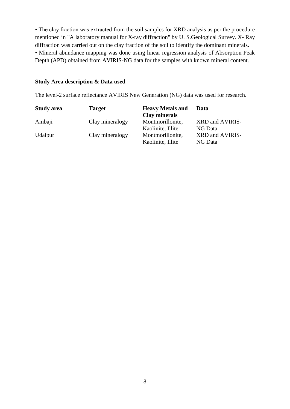• The clay fraction was extracted from the soil samples for XRD analysis as per the procedure mentioned in "A laboratory manual for X-ray diffraction" by U. S.Geological Survey. X- Ray diffraction was carried out on the clay fraction of the soil to identify the dominant minerals. • Mineral abundance mapping was done using linear regression analysis of Absorption Peak Depth (APD) obtained from AVIRIS-NG data for the samples with known mineral content.

#### **Study Area description & Data used**

The level-2 surface reflectance AVIRIS New Generation (NG) data was used for research.

| <b>Study area</b> | <b>Target</b>   | <b>Heavy Metals and</b><br><b>Clay minerals</b> | Data            |
|-------------------|-----------------|-------------------------------------------------|-----------------|
| Ambaji            | Clay mineralogy | Montmorillonite,                                | XRD and AVIRIS- |
|                   |                 | Kaolinite, Illite                               | NG Data         |
| Udaipur           | Clay mineralogy | Montmorillonite,                                | XRD and AVIRIS- |
|                   |                 | Kaolinite, Illite                               | NG Data         |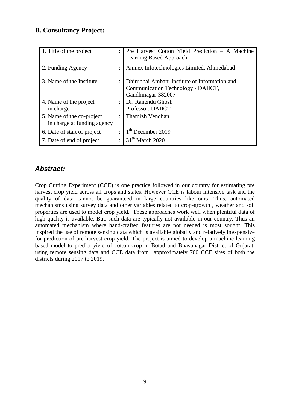## <span id="page-8-0"></span>**B. Consultancy Project:**

| 1. Title of the project                                  |                | Pre Harvest Cotton Yield Prediction – A Machine<br>Learning Based Approach                                |
|----------------------------------------------------------|----------------|-----------------------------------------------------------------------------------------------------------|
| 2. Funding Agency                                        |                | Amnex Infotechnologies Limited, Ahmedabad                                                                 |
| 3. Name of the Institute                                 | $\bullet$      | Dhirubhai Ambani Institute of Information and<br>Communication Technology - DAIICT,<br>Gandhinagar-382007 |
| 4. Name of the project<br>in charge                      |                | Dr. Ranendu Ghosh<br>Professor, DAIICT                                                                    |
| 5. Name of the co-project<br>in charge at funding agency | $\bullet$      | Thamizh Vendhan                                                                                           |
| 6. Date of start of project                              | $\ddot{\cdot}$ | $1th$ December 2019                                                                                       |
| 7. Date of end of project                                | $\ddot{\cdot}$ | 31 <sup>th</sup> March 2020                                                                               |

## <span id="page-8-1"></span>*Abstract:*

Crop Cutting Experiment (CCE) is one practice followed in our country for estimating pre harvest crop yield across all crops and states. However CCE is labour intensive task and the quality of data cannot be guaranteed in large countries like ours. Thus, automated mechanisms using survey data and other variables related to crop-growth , weather and soil properties are used to model crop yield. These approaches work well when plentiful data of high quality is available. But, such data are typically not available in our country. Thus an automated mechanism where hand-crafted features are not needed is most sought. This inspired the use of remote sensing data which is available globally and relatively inexpensive for prediction of pre harvest crop yield. The project is aimed to develop a machine learning based model to predict yield of cotton crop in Botad and Bhavanagar District of Gujarat, using remote sensing data and CCE data from approximately 700 CCE sites of both the districts during 2017 to 2019.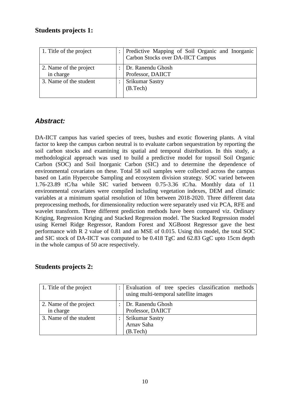## <span id="page-9-0"></span>**Students projects 1:**

| 1. Title of the project             | : Predictive Mapping of Soil Organic and Inorganic<br>Carbon Stocks over DA-IICT Campus |
|-------------------------------------|-----------------------------------------------------------------------------------------|
| 2. Name of the project<br>in charge | Dr. Ranendu Ghosh<br>Professor, DAIICT                                                  |
| 3. Name of the student              | <b>Srikumar Sastry</b><br>(B. Tech)                                                     |

## <span id="page-9-1"></span>*Abstract:*

DA-IICT campus has varied species of trees, bushes and exotic flowering plants. A vital factor to keep the campus carbon neutral is to evaluate carbon sequestration by reporting the soil carbon stocks and examining its spatial and temporal distribution. In this study, a methodological approach was used to build a predictive model for topsoil Soil Organic Carbon (SOC) and Soil Inorganic Carbon (SIC) and to determine the dependence of environmental covariates on these. Total 58 soil samples were collected across the campus based on Latin Hypercube Sampling and ecosystem division strategy. SOC varied between 1.76-23.89 tC/ha while SIC varied between 0.75-3.36 tC/ha. Monthly data of 11 environmental covariates were compiled including vegetation indexes, DEM and climatic variables at a minimum spatial resolution of 10m between 2018-2020. Three different data preprocessing methods, for dimensionality reduction were separately used viz PCA, RFE and wavelet transform. Three different prediction methods have been compared viz. Ordinary Kriging, Regression Kriging and Stacked Regression model. The Stacked Regression model using Kernel Ridge Regressor, Random Forest and XGBoost Regressor gave the best performance with R 2 value of 0.81 and an MSE of 0.015. Using this model, the total SOC and SIC stock of DA-IICT was computed to be 0.418 TgC and 62.83 GgC upto 15cm depth in the whole campus of 50 acre respectively.

## <span id="page-9-2"></span>**Students projects 2:**

| 1. Title of the project             | Evaluation of tree species classification methods<br>using multi-temporal satellite images |
|-------------------------------------|--------------------------------------------------------------------------------------------|
| 2. Name of the project<br>in charge | Dr. Ranendu Ghosh<br>Professor, DAIICT                                                     |
| 3. Name of the student              | <b>Srikumar Sastry</b><br>Arnav Saha<br>(B. Tech)                                          |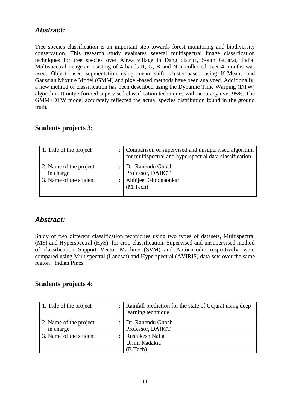## <span id="page-10-0"></span>*Abstract:*

Tree species classification is an important step towards forest monitoring and biodiversity conservation. This research study evaluates several multispectral image classification techniques for tree species over Ahwa village in Dang district, South Gujarat, India. Multispectral images consisting of 4 bands-R, G, B and NIR collected over 4 months was used. Object-based segmentation using mean shift, cluster-based using K-Means and Gaussian Mixture Model (GMM) and pixel-based methods have been analyzed. Additionally, a new method of classification has been described using the Dynamic Time Warping (DTW) algorithm. It outperformed supervised classification techniques with accuracy over 95%. The GMM+DTW model accurately reflected the actual species distribution found in the ground truth.

## <span id="page-10-1"></span>**Students projects 3:**

| 1. Title of the project             | Comparison of supervised and unsupervised algorithm<br>for multispectral and hyperspectral data classification |
|-------------------------------------|----------------------------------------------------------------------------------------------------------------|
| 2. Name of the project<br>in charge | Dr. Ranendu Ghosh<br>Professor, DAIICT                                                                         |
| 3. Name of the student              | Abhijeet Ghodgaonkar<br>(M. Tech)                                                                              |

## <span id="page-10-2"></span>*Abstract:*

Study of two different classification techniques using two types of datasets, Multispectral (MS) and Hyperspectral (HyS), for crop classification. Supervised and unsupervised method of classification Support Vector Machine (SVM) and Autoencoder respectively, were compared using Multispectral (Landsat) and Hyperspectral (AVIRIS) data sets over the same region , Indian Pines.

## <span id="page-10-3"></span>**Students projects 4:**

| 1. Title of the project             | Rainfall prediction for the state of Gujarat using deep<br>learning technique |
|-------------------------------------|-------------------------------------------------------------------------------|
| 2. Name of the project<br>in charge | Dr. Ranendu Ghosh<br>Professor, DAIICT                                        |
| 3. Name of the student              | Rushikesh Nalla<br>Urmil Kadakia<br>(B.Tech)                                  |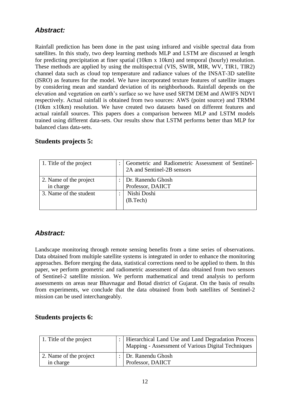## <span id="page-11-0"></span>*Abstract:*

Rainfall prediction has been done in the past using infrared and visible spectral data from satellites. In this study, two deep learning methods MLP and LSTM are discussed at length for predicting precipitation at finer spatial (10km x 10km) and temporal (hourly) resolution. These methods are applied by using the multispectral (VIS, SWIR, MIR, WV, TIR1, TIR2) channel data such as cloud top temperature and radiance values of the INSAT-3D satellite (ISRO) as features for the model. We have incorporated texture features of satellite images by considering mean and standard deviation of its neighborhoods. Rainfall depends on the elevation and vegetation on earth's surface so we have used SRTM DEM and AWIFS NDVI respectively. Actual rainfall is obtained from two sources: AWS (point source) and TRMM (10km x10km) resolution. We have created two datasets based on different features and actual rainfall sources. This papers does a comparison between MLP and LSTM models trained using different data-sets. Our results show that LSTM performs better than MLP for balanced class data-sets.

| 1. Title of the project             | Geometric and Radiometric Assessment of Sentinel-<br>2A and Sentinel-2B sensors |
|-------------------------------------|---------------------------------------------------------------------------------|
| 2. Name of the project<br>in charge | Dr. Ranendu Ghosh<br>Professor, DAIICT                                          |
| 3. Name of the student              | Nishi Doshi<br>(B. Tech)                                                        |

## <span id="page-11-1"></span>**Students projects 5:**

## <span id="page-11-2"></span>*Abstract:*

Landscape monitoring through remote sensing benefits from a time series of observations. Data obtained from multiple satellite systems is integrated in order to enhance the monitoring approaches. Before merging the data, statistical corrections need to be applied to them. In this paper, we perform geometric and radiometric assessment of data obtained from two sensors of Sentinel-2 satellite mission. We perform mathematical and trend analysis to perform assessments on areas near Bhavnagar and Botad district of Gujarat. On the basis of results from experiments, we conclude that the data obtained from both satellites of Sentinel-2 mission can be used interchangeably.

#### <span id="page-11-3"></span>**Students projects 6:**

| 1. Title of the project             | :   Hierarchical Land Use and Land Degradation Process<br>Mapping - Assessment of Various Digital Techniques |
|-------------------------------------|--------------------------------------------------------------------------------------------------------------|
| 2. Name of the project<br>in charge | : Dr. Ranendu Ghosh<br>Professor, DAIICT                                                                     |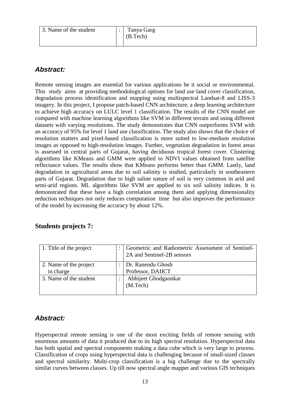| 3. Name of the student | Tanya Garg<br>(B.Tech) |
|------------------------|------------------------|
|                        |                        |

## <span id="page-12-0"></span>*Abstract:*

Remote sensing images are essential for various applications be it social or environmental. This study aims at providing methodological options for land use land cover classification, degradation process identification and mapping using multispectral Landsat-8 and LISS-3 imagery. In this project, I propose patch-based CNN architecture, a deep learning architecture to achieve high accuracy on LULC level 1 classification. The results of the CNN model are compared with machine learning algorithms like SVM in different terrain and using different datasets with varying resolutions. The study demonstrates that CNN outperforms SVM with an accuracy of 95% for level 1 land use classification. The study also shows that the choice of resolution matters and pixel-based classification is more suited to low-medium resolution images as opposed to high-resolution images. Further, vegetation degradation in forest areas is assessed in central parts of Gujarat, having deciduous tropical forest cover. Clustering algorithms like KMeans and GMM were applied to NDVI values obtained from satellite reflectance values. The results show that KMeans performs better than GMM. Lastly, land degradation in agricultural areas due to soil salinity is studied, particularly in southeastern parts of Gujarat. Degradation due to high saline nature of soil is very common in arid and semi-arid regions. ML algorithms like SVM are applied to six soil salinity indices. It is demonstrated that these have a high correlation among them and applying dimensionality reduction techniques not only reduces computation time but also improves the performance of the model by increasing the accuracy by about 12%.

<span id="page-12-1"></span>

|  | <b>Students projects 7:</b> |  |
|--|-----------------------------|--|
|--|-----------------------------|--|

| 1. Title of the project             | Geometric and Radiometric Assessment of Sentinel-<br>2A and Sentinel-2B sensors |
|-------------------------------------|---------------------------------------------------------------------------------|
| 2. Name of the project<br>in charge | Dr. Ranendu Ghosh<br>Professor, DAIICT                                          |
| 3. Name of the student              | Abhijeet Ghodgaonkar<br>(M. Tech)                                               |

## <span id="page-12-2"></span>*Abstract:*

Hyperspectral remote sensing is one of the most exciting fields of remote sensing with enormous amounts of data it produced due to its high spectral resolution. Hyperspectral data has both spatial and spectral components making a data cube which is very large to process. Classification of crops using hyperspectral data is challenging because of small-sized classes and spectral similarity. Multi-crop classification is a big challenge due to the spectrally similar curves between classes. Up till now spectral angle mapper and various GIS techniques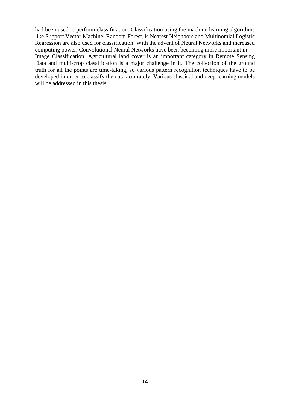had been used to perform classification. Classification using the machine learning algorithms like Support Vector Machine, Random Forest, k-Nearest Neighbors and Multinomial Logistic Regression are also used for classification. With the advent of Neural Networks and increased computing power, Convolutional Neural Networks have been becoming more important in Image Classification. Agricultural land cover is an important category in Remote Sensing Data and multi-crop classification is a major challenge in it. The collection of the ground truth for all the points are time-taking, so various pattern recognition techniques have to be developed in order to classify the data accurately. Various classical and deep learning models will be addressed in this thesis.